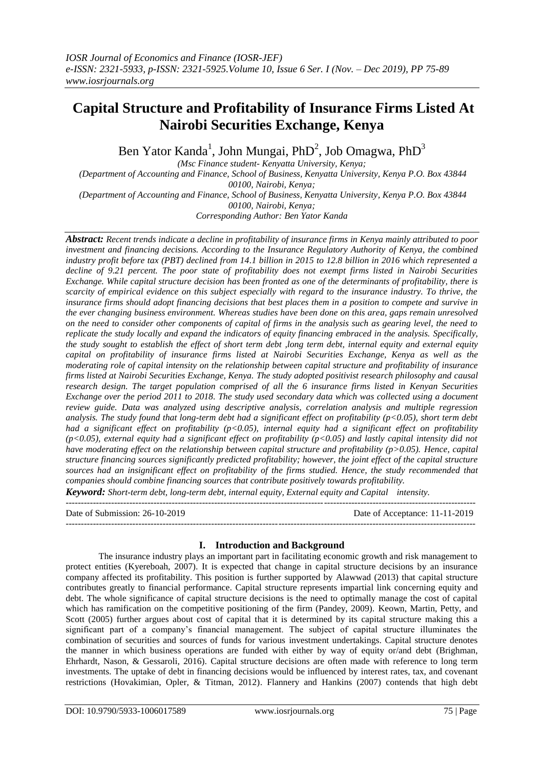# **Capital Structure and Profitability of Insurance Firms Listed At Nairobi Securities Exchange, Kenya**

Ben Yator Kanda<sup>1</sup>, John Mungai, PhD<sup>2</sup>, Job Omagwa, PhD<sup>3</sup>

*(Msc Finance student- Kenyatta University, Kenya; (Department of Accounting and Finance, School of Business, Kenyatta University, Kenya P.O. Box 43844 00100, Nairobi, Kenya; (Department of Accounting and Finance, School of Business, Kenyatta University, Kenya P.O. Box 43844 00100, Nairobi, Kenya; Corresponding Author: Ben Yator Kanda*

*Abstract: Recent trends indicate a decline in profitability of insurance firms in Kenya mainly attributed to poor investment and financing decisions. According to the Insurance Regulatory Authority of Kenya, the combined industry profit before tax (PBT) declined from 14.1 billion in 2015 to 12.8 billion in 2016 which represented a decline of 9.21 percent. The poor state of profitability does not exempt firms listed in Nairobi Securities Exchange. While capital structure decision has been fronted as one of the determinants of profitability, there is scarcity of empirical evidence on this subject especially with regard to the insurance industry. To thrive, the insurance firms should adopt financing decisions that best places them in a position to compete and survive in the ever changing business environment. Whereas studies have been done on this area, gaps remain unresolved on the need to consider other components of capital of firms in the analysis such as gearing level, the need to replicate the study locally and expand the indicators of equity financing embraced in the analysis. Specifically, the study sought to establish the effect of short term debt ,long term debt, internal equity and external equity capital on profitability of insurance firms listed at Nairobi Securities Exchange, Kenya as well as the moderating role of capital intensity on the relationship between capital structure and profitability of insurance firms listed at Nairobi Securities Exchange, Kenya. The study adopted positivist research philosophy and causal research design. The target population comprised of all the 6 insurance firms listed in Kenyan Securities Exchange over the period 2011 to 2018. The study used secondary data which was collected using a document review guide. Data was analyzed using descriptive analysis, correlation analysis and multiple regression analysis. The study found that long-term debt had a significant effect on profitability (p<0.05), short term debt had a significant effect on profitability (p<0.05), internal equity had a significant effect on profitability (p<0.05), external equity had a significant effect on profitability (p<0.05) and lastly capital intensity did not have moderating effect on the relationship between capital structure and profitability (p>0.05). Hence, capital structure financing sources significantly predicted profitability; however, the joint effect of the capital structure sources had an insignificant effect on profitability of the firms studied. Hence, the study recommended that companies should combine financing sources that contribute positively towards profitability.* 

*Keyword: Short-term debt, long-term debt, internal equity, External equity and Capital intensity.* ---------------------------------------------------------------------------------------------------------------------------------------

 $-1-\frac{1}{2}$ 

Date of Submission: 26-10-2019 Date of Acceptance: 11-11-2019

# **I. Introduction and Background**

The insurance industry plays an important part in facilitating economic growth and risk management to protect entities (Kyereboah, 2007). It is expected that change in capital structure decisions by an insurance company affected its profitability. This position is further supported by Alawwad (2013) that capital structure contributes greatly to financial performance. Capital structure represents impartial link concerning equity and debt. The whole significance of capital structure decisions is the need to optimally manage the cost of capital which has ramification on the competitive positioning of the firm (Pandey, 2009). Keown, Martin, Petty, and Scott (2005) further argues about cost of capital that it is determined by its capital structure making this a significant part of a company's financial management. The subject of capital structure illuminates the combination of securities and sources of funds for various investment undertakings. Capital structure denotes the manner in which business operations are funded with either by way of equity or/and debt (Brighman, Ehrhardt, Nason, & Gessaroli, 2016). Capital structure decisions are often made with reference to long term investments. The uptake of debt in financing decisions would be influenced by interest rates, tax, and covenant restrictions (Hovakimian, Opler, & Titman, 2012). Flannery and Hankins (2007) contends that high debt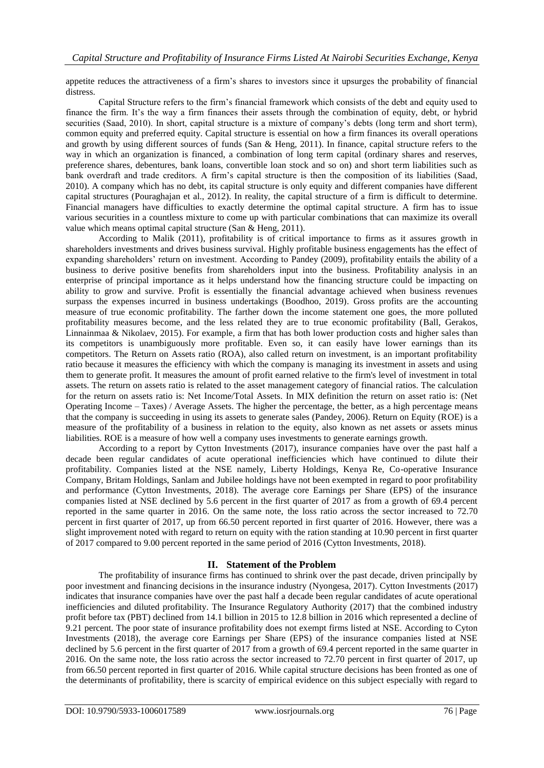appetite reduces the attractiveness of a firm's shares to investors since it upsurges the probability of financial distress.

Capital Structure refers to the firm's financial framework which consists of the debt and equity used to finance the firm. It's the way a firm finances their assets through the combination of equity, debt, or hybrid securities (Saad, 2010). In short, capital structure is a mixture of company's debts (long term and short term), common equity and preferred equity. Capital structure is essential on how a firm finances its overall operations and growth by using different sources of funds (San & Heng, 2011). In finance, capital structure refers to the way in which an organization is financed, a combination of long term capital (ordinary shares and reserves, preference shares, debentures, bank loans, convertible loan stock and so on) and short term liabilities such as bank overdraft and trade creditors. A firm's capital structure is then the composition of its liabilities (Saad, 2010). A company which has no debt, its capital structure is only equity and different companies have different capital structures (Pouraghajan et al., 2012). In reality, the capital structure of a firm is difficult to determine. Financial managers have difficulties to exactly determine the optimal capital structure. A firm has to issue various securities in a countless mixture to come up with particular combinations that can maximize its overall value which means optimal capital structure (San & Heng, 2011).

According to Malik (2011), profitability is of critical importance to firms as it assures growth in shareholders investments and drives business survival. Highly profitable business engagements has the effect of expanding shareholders' return on investment. According to Pandey (2009), profitability entails the ability of a business to derive positive benefits from shareholders input into the business. Profitability analysis in an enterprise of principal importance as it helps understand how the financing structure could be impacting on ability to grow and survive. Profit is essentially the financial advantage achieved when business revenues surpass the expenses incurred in business undertakings (Boodhoo, 2019). Gross profits are the accounting measure of true economic profitability. The farther down the income statement one goes, the more polluted profitability measures become, and the less related they are to true economic profitability (Ball, Gerakos, Linnainmaa & Nikolaev, 2015). For example, a firm that has both lower production costs and higher sales than its competitors is unambiguously more profitable. Even so, it can easily have lower earnings than its competitors. The Return on Assets ratio (ROA), also called return on investment, is an important profitability ratio because it measures the efficiency with which the company is managing its investment in assets and using them to generate profit. It measures the amount of profit earned relative to the firm's level of investment in total assets. The return on assets ratio is related to the asset management category of financial ratios. The calculation for the return on assets ratio is: Net Income/Total Assets. In MIX definition the return on asset ratio is: (Net Operating Income – Taxes) / Average Assets. The higher the percentage, the better, as a high percentage means that the company is succeeding in using its assets to generate sales (Pandey, 2006). Return on Equity (ROE) is a measure of the profitability of a business in relation to the equity, also known as net assets or assets minus liabilities. ROE is a measure of how well a company uses investments to generate earnings growth.

According to a report by Cytton Investments (2017), insurance companies have over the past half a decade been regular candidates of acute operational inefficiencies which have continued to dilute their profitability. Companies listed at the NSE namely, Liberty Holdings, Kenya Re, Co-operative Insurance Company, Britam Holdings, Sanlam and Jubilee holdings have not been exempted in regard to poor profitability and performance (Cytton Investments, 2018). The average core Earnings per Share (EPS) of the insurance companies listed at NSE declined by 5.6 percent in the first quarter of 2017 as from a growth of 69.4 percent reported in the same quarter in 2016. On the same note, the loss ratio across the sector increased to 72.70 percent in first quarter of 2017, up from 66.50 percent reported in first quarter of 2016. However, there was a slight improvement noted with regard to return on equity with the ration standing at 10.90 percent in first quarter of 2017 compared to 9.00 percent reported in the same period of 2016 (Cytton Investments, 2018).

# **II. Statement of the Problem**

The profitability of insurance firms has continued to shrink over the past decade, driven principally by poor investment and financing decisions in the insurance industry (Nyongesa, 2017). Cytton Investments (2017) indicates that insurance companies have over the past half a decade been regular candidates of acute operational inefficiencies and diluted profitability. The Insurance Regulatory Authority (2017) that the combined industry profit before tax (PBT) declined from 14.1 billion in 2015 to 12.8 billion in 2016 which represented a decline of 9.21 percent. The poor state of insurance profitability does not exempt firms listed at NSE. According to Cyton Investments (2018), the average core Earnings per Share (EPS) of the insurance companies listed at NSE declined by 5.6 percent in the first quarter of 2017 from a growth of 69.4 percent reported in the same quarter in 2016. On the same note, the loss ratio across the sector increased to 72.70 percent in first quarter of 2017, up from 66.50 percent reported in first quarter of 2016. While capital structure decisions has been fronted as one of the determinants of profitability, there is scarcity of empirical evidence on this subject especially with regard to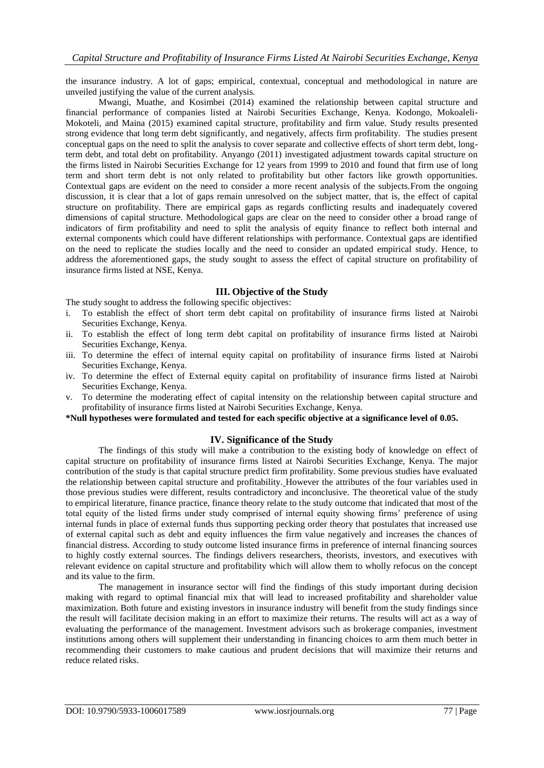the insurance industry. A lot of gaps; empirical, contextual, conceptual and methodological in nature are unveiled justifying the value of the current analysis.

Mwangi, Muathe, and Kosimbei (2014) examined the relationship between capital structure and financial performance of companies listed at Nairobi Securities Exchange, Kenya. Kodongo, Mokoaleli-Mokoteli, and Maina (2015) examined capital structure, profitability and firm value. Study results presented strong evidence that long term debt significantly, and negatively, affects firm profitability. The studies present conceptual gaps on the need to split the analysis to cover separate and collective effects of short term debt, longterm debt, and total debt on profitability. Anyango (2011) investigated adjustment towards capital structure on the firms listed in Nairobi Securities Exchange for 12 years from 1999 to 2010 and found that firm use of long term and short term debt is not only related to profitability but other factors like growth opportunities. Contextual gaps are evident on the need to consider a more recent analysis of the subjects.From the ongoing discussion, it is clear that a lot of gaps remain unresolved on the subject matter, that is, the effect of capital structure on profitability. There are empirical gaps as regards conflicting results and inadequately covered dimensions of capital structure. Methodological gaps are clear on the need to consider other a broad range of indicators of firm profitability and need to split the analysis of equity finance to reflect both internal and external components which could have different relationships with performance. Contextual gaps are identified on the need to replicate the studies locally and the need to consider an updated empirical study. Hence, to address the aforementioned gaps, the study sought to assess the effect of capital structure on profitability of insurance firms listed at NSE, Kenya.

# **III. Objective of the Study**

The study sought to address the following specific objectives:

- i. To establish the effect of short term debt capital on profitability of insurance firms listed at Nairobi Securities Exchange, Kenya.
- ii. To establish the effect of long term debt capital on profitability of insurance firms listed at Nairobi Securities Exchange, Kenya.
- iii. To determine the effect of internal equity capital on profitability of insurance firms listed at Nairobi Securities Exchange, Kenya.
- iv. To determine the effect of External equity capital on profitability of insurance firms listed at Nairobi Securities Exchange, Kenya.
- v. To determine the moderating effect of capital intensity on the relationship between capital structure and profitability of insurance firms listed at Nairobi Securities Exchange, Kenya.

# **\*Null hypotheses were formulated and tested for each specific objective at a significance level of 0.05.**

#### **IV. Significance of the Study**

The findings of this study will make a contribution to the existing body of knowledge on effect of capital structure on profitability of insurance firms listed at Nairobi Securities Exchange, Kenya. The major contribution of the study is that capital structure predict firm profitability. Some previous studies have evaluated the relationship between capital structure and profitability. However the attributes of the four variables used in those previous studies were different, results contradictory and inconclusive. The theoretical value of the study to empirical literature, finance practice, finance theory relate to the study outcome that indicated that most of the total equity of the listed firms under study comprised of internal equity showing firms' preference of using internal funds in place of external funds thus supporting pecking order theory that postulates that increased use of external capital such as debt and equity influences the firm value negatively and increases the chances of financial distress. According to study outcome listed insurance firms in preference of internal financing sources to highly costly external sources. The findings delivers researchers, theorists, investors, and executives with relevant evidence on capital structure and profitability which will allow them to wholly refocus on the concept and its value to the firm.

The management in insurance sector will find the findings of this study important during decision making with regard to optimal financial mix that will lead to increased profitability and shareholder value maximization. Both future and existing investors in insurance industry will benefit from the study findings since the result will facilitate decision making in an effort to maximize their returns. The results will act as a way of evaluating the performance of the management. Investment advisors such as brokerage companies, investment institutions among others will supplement their understanding in financing choices to arm them much better in recommending their customers to make cautious and prudent decisions that will maximize their returns and reduce related risks.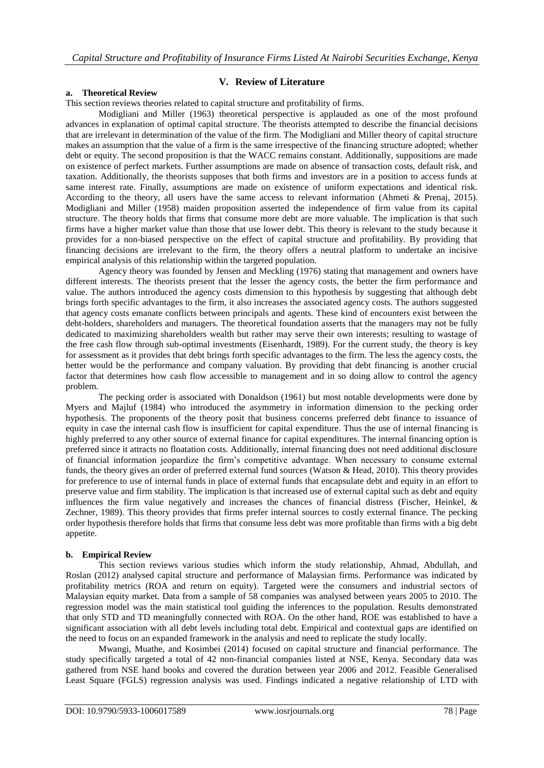#### **V. Review of Literature**

#### **a. Theoretical Review**

This section reviews theories related to capital structure and profitability of firms.

Modigliani and Miller (1963) theoretical perspective is applauded as one of the most profound advances in explanation of optimal capital structure. The theorists attempted to describe the financial decisions that are irrelevant in determination of the value of the firm. The Modigliani and Miller theory of capital structure makes an assumption that the value of a firm is the same irrespective of the financing structure adopted; whether debt or equity. The second proposition is that the WACC remains constant. Additionally, suppositions are made on existence of perfect markets. Further assumptions are made on absence of transaction costs, default risk, and taxation. Additionally, the theorists supposes that both firms and investors are in a position to access funds at same interest rate. Finally, assumptions are made on existence of uniform expectations and identical risk. According to the theory, all users have the same access to relevant information (Ahmeti & Prenaj, 2015). Modigliani and Miller (1958) maiden proposition asserted the independence of firm value from its capital structure. The theory holds that firms that consume more debt are more valuable. The implication is that such firms have a higher market value than those that use lower debt. This theory is relevant to the study because it provides for a non-biased perspective on the effect of capital structure and profitability. By providing that financing decisions are irrelevant to the firm, the theory offers a neutral platform to undertake an incisive empirical analysis of this relationship within the targeted population.

Agency theory was founded by Jensen and Meckling (1976) stating that management and owners have different interests. The theorists present that the lesser the agency costs, the better the firm performance and value. The authors introduced the agency costs dimension to this hypothesis by suggesting that although debt brings forth specific advantages to the firm, it also increases the associated agency costs. The authors suggested that agency costs emanate conflicts between principals and agents. These kind of encounters exist between the debt-holders, shareholders and managers. The theoretical foundation asserts that the managers may not be fully dedicated to maximizing shareholders wealth but rather may serve their own interests; resulting to wastage of the free cash flow through sub-optimal investments (Eisenhardt, 1989). For the current study, the theory is key for assessment as it provides that debt brings forth specific advantages to the firm. The less the agency costs, the better would be the performance and company valuation. By providing that debt financing is another crucial factor that determines how cash flow accessible to management and in so doing allow to control the agency problem.

The pecking order is associated with Donaldson (1961) but most notable developments were done by Myers and Majluf (1984) who introduced the asymmetry in information dimension to the pecking order hypothesis. The proponents of the theory posit that business concerns preferred debt finance to issuance of equity in case the internal cash flow is insufficient for capital expenditure. Thus the use of internal financing is highly preferred to any other source of external finance for capital expenditures. The internal financing option is preferred since it attracts no floatation costs. Additionally, internal financing does not need additional disclosure of financial information jeopardize the firm's competitive advantage. When necessary to consume external funds, the theory gives an order of preferred external fund sources (Watson & Head, 2010). This theory provides for preference to use of internal funds in place of external funds that encapsulate debt and equity in an effort to preserve value and firm stability. The implication is that increased use of external capital such as debt and equity influences the firm value negatively and increases the chances of financial distress (Fischer, Heinkel, & Zechner, 1989). This theory provides that firms prefer internal sources to costly external finance. The pecking order hypothesis therefore holds that firms that consume less debt was more profitable than firms with a big debt appetite.

#### **b. Empirical Review**

This section reviews various studies which inform the study relationship, Ahmad, Abdullah, and Roslan (2012) analysed capital structure and performance of Malaysian firms. Performance was indicated by profitability metrics (ROA and return on equity). Targeted were the consumers and industrial sectors of Malaysian equity market. Data from a sample of 58 companies was analysed between years 2005 to 2010. The regression model was the main statistical tool guiding the inferences to the population. Results demonstrated that only STD and TD meaningfully connected with ROA. On the other hand, ROE was established to have a significant association with all debt levels including total debt. Empirical and contextual gaps are identified on the need to focus on an expanded framework in the analysis and need to replicate the study locally.

Mwangi, Muathe, and Kosimbei (2014) focused on capital structure and financial performance. The study specifically targeted a total of 42 non-financial companies listed at NSE, Kenya. Secondary data was gathered from NSE hand books and covered the duration between year 2006 and 2012. Feasible Generalised Least Square (FGLS) regression analysis was used. Findings indicated a negative relationship of LTD with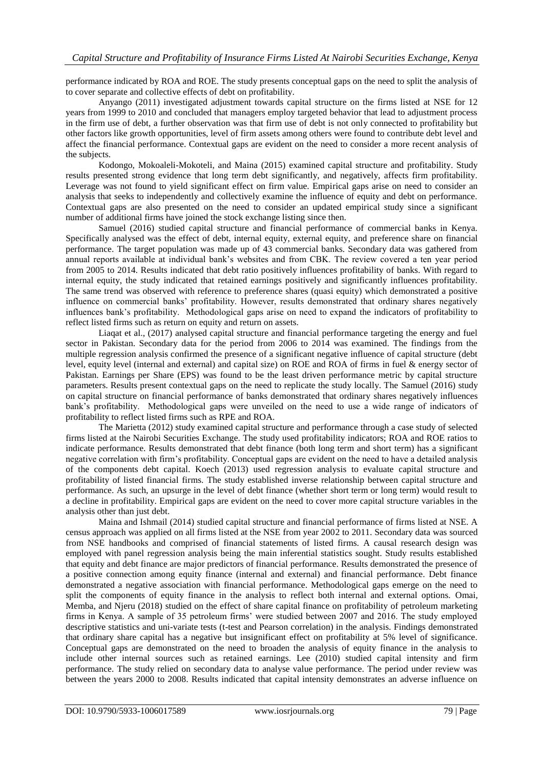performance indicated by ROA and ROE. The study presents conceptual gaps on the need to split the analysis of to cover separate and collective effects of debt on profitability.

Anyango (2011) investigated adjustment towards capital structure on the firms listed at NSE for 12 years from 1999 to 2010 and concluded that managers employ targeted behavior that lead to adjustment process in the firm use of debt, a further observation was that firm use of debt is not only connected to profitability but other factors like growth opportunities, level of firm assets among others were found to contribute debt level and affect the financial performance. Contextual gaps are evident on the need to consider a more recent analysis of the subjects.

Kodongo, Mokoaleli-Mokoteli, and Maina (2015) examined capital structure and profitability. Study results presented strong evidence that long term debt significantly, and negatively, affects firm profitability. Leverage was not found to yield significant effect on firm value. Empirical gaps arise on need to consider an analysis that seeks to independently and collectively examine the influence of equity and debt on performance. Contextual gaps are also presented on the need to consider an updated empirical study since a significant number of additional firms have joined the stock exchange listing since then.

Samuel (2016) studied capital structure and financial performance of commercial banks in Kenya. Specifically analysed was the effect of debt, internal equity, external equity, and preference share on financial performance. The target population was made up of 43 commercial banks. Secondary data was gathered from annual reports available at individual bank's websites and from CBK. The review covered a ten year period from 2005 to 2014. Results indicated that debt ratio positively influences profitability of banks. With regard to internal equity, the study indicated that retained earnings positively and significantly influences profitability. The same trend was observed with reference to preference shares (quasi equity) which demonstrated a positive influence on commercial banks' profitability. However, results demonstrated that ordinary shares negatively influences bank's profitability. Methodological gaps arise on need to expand the indicators of profitability to reflect listed firms such as return on equity and return on assets.

Liaqat et al., (2017) analysed capital structure and financial performance targeting the energy and fuel sector in Pakistan. Secondary data for the period from 2006 to 2014 was examined. The findings from the multiple regression analysis confirmed the presence of a significant negative influence of capital structure (debt level, equity level (internal and external) and capital size) on ROE and ROA of firms in fuel & energy sector of Pakistan. Earnings per Share (EPS) was found to be the least driven performance metric by capital structure parameters. Results present contextual gaps on the need to replicate the study locally. The Samuel (2016) study on capital structure on financial performance of banks demonstrated that ordinary shares negatively influences bank's profitability. Methodological gaps were unveiled on the need to use a wide range of indicators of profitability to reflect listed firms such as RPE and ROA.

The Marietta (2012) study examined capital structure and performance through a case study of selected firms listed at the Nairobi Securities Exchange. The study used profitability indicators; ROA and ROE ratios to indicate performance. Results demonstrated that debt finance (both long term and short term) has a significant negative correlation with firm's profitability. Conceptual gaps are evident on the need to have a detailed analysis of the components debt capital. Koech (2013) used regression analysis to evaluate capital structure and profitability of listed financial firms. The study established inverse relationship between capital structure and performance. As such, an upsurge in the level of debt finance (whether short term or long term) would result to a decline in profitability. Empirical gaps are evident on the need to cover more capital structure variables in the analysis other than just debt.

Maina and Ishmail (2014) studied capital structure and financial performance of firms listed at NSE. A census approach was applied on all firms listed at the NSE from year 2002 to 2011. Secondary data was sourced from NSE handbooks and comprised of financial statements of listed firms. A causal research design was employed with panel regression analysis being the main inferential statistics sought. Study results established that equity and debt finance are major predictors of financial performance. Results demonstrated the presence of a positive connection among equity finance (internal and external) and financial performance. Debt finance demonstrated a negative association with financial performance. Methodological gaps emerge on the need to split the components of equity finance in the analysis to reflect both internal and external options. Omai, Memba, and Njeru (2018) studied on the effect of share capital finance on profitability of petroleum marketing firms in Kenya. A sample of 35 petroleum firms' were studied between 2007 and 2016. The study employed descriptive statistics and uni-variate tests (t-test and Pearson correlation) in the analysis. Findings demonstrated that ordinary share capital has a negative but insignificant effect on profitability at 5% level of significance. Conceptual gaps are demonstrated on the need to broaden the analysis of equity finance in the analysis to include other internal sources such as retained earnings. Lee (2010) studied capital intensity and firm performance. The study relied on secondary data to analyse value performance. The period under review was between the years 2000 to 2008. Results indicated that capital intensity demonstrates an adverse influence on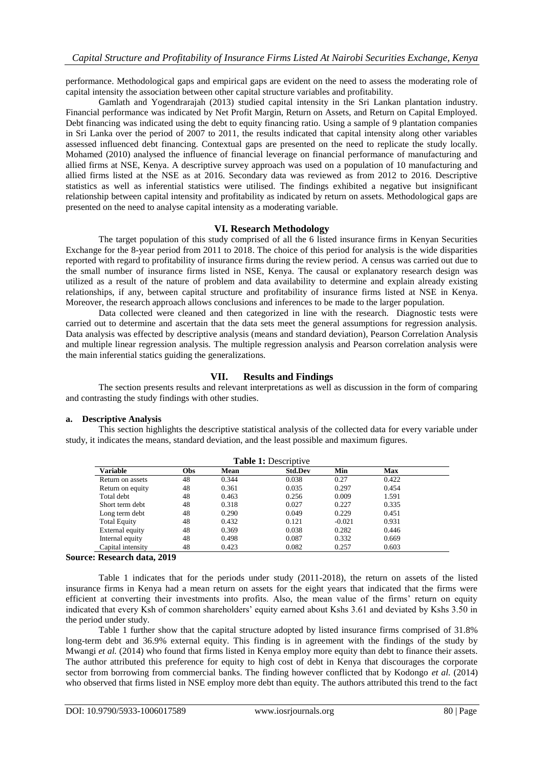performance. Methodological gaps and empirical gaps are evident on the need to assess the moderating role of capital intensity the association between other capital structure variables and profitability.

Gamlath and Yogendrarajah (2013) studied capital intensity in the Sri Lankan plantation industry. Financial performance was indicated by Net Profit Margin, Return on Assets, and Return on Capital Employed. Debt financing was indicated using the debt to equity financing ratio. Using a sample of 9 plantation companies in Sri Lanka over the period of 2007 to 2011, the results indicated that capital intensity along other variables assessed influenced debt financing. Contextual gaps are presented on the need to replicate the study locally. Mohamed (2010) analysed the influence of financial leverage on financial performance of manufacturing and allied firms at NSE, Kenya. A descriptive survey approach was used on a population of 10 manufacturing and allied firms listed at the NSE as at 2016. Secondary data was reviewed as from 2012 to 2016. Descriptive statistics as well as inferential statistics were utilised. The findings exhibited a negative but insignificant relationship between capital intensity and profitability as indicated by return on assets. Methodological gaps are presented on the need to analyse capital intensity as a moderating variable.

## **VI. Research Methodology**

The target population of this study comprised of all the 6 listed insurance firms in Kenyan Securities Exchange for the 8-year period from 2011 to 2018. The choice of this period for analysis is the wide disparities reported with regard to profitability of insurance firms during the review period. A census was carried out due to the small number of insurance firms listed in NSE, Kenya. The causal or explanatory research design was utilized as a result of the nature of problem and data availability to determine and explain already existing relationships, if any, between capital structure and profitability of insurance firms listed at NSE in Kenya. Moreover, the research approach allows conclusions and inferences to be made to the larger population.

Data collected were cleaned and then categorized in line with the research. Diagnostic tests were carried out to determine and ascertain that the data sets meet the general assumptions for regression analysis. Data analysis was effected by descriptive analysis (means and standard deviation), Pearson Correlation Analysis and multiple linear regression analysis. The multiple regression analysis and Pearson correlation analysis were the main inferential statics guiding the generalizations.

# **VII. Results and Findings**

The section presents results and relevant interpretations as well as discussion in the form of comparing and contrasting the study findings with other studies.

#### **a. Descriptive Analysis**

This section highlights the descriptive statistical analysis of the collected data for every variable under study, it indicates the means, standard deviation, and the least possible and maximum figures.

| <b>Table 1:</b> Descriptive |            |       |                |          |            |  |
|-----------------------------|------------|-------|----------------|----------|------------|--|
| <b>Variable</b>             | <b>Obs</b> | Mean  | <b>Std.Dev</b> | Min      | <b>Max</b> |  |
| Return on assets            | 48         | 0.344 | 0.038          | 0.27     | 0.422      |  |
| Return on equity            | 48         | 0.361 | 0.035          | 0.297    | 0.454      |  |
| Total debt                  | 48         | 0.463 | 0.256          | 0.009    | 1.591      |  |
| Short term debt             | 48         | 0.318 | 0.027          | 0.227    | 0.335      |  |
| Long term debt              | 48         | 0.290 | 0.049          | 0.229    | 0.451      |  |
| <b>Total Equity</b>         | 48         | 0.432 | 0.121          | $-0.021$ | 0.931      |  |
| External equity             | 48         | 0.369 | 0.038          | 0.282    | 0.446      |  |
| Internal equity             | 48         | 0.498 | 0.087          | 0.332    | 0.669      |  |
| Capital intensity           | 48         | 0.423 | 0.082          | 0.257    | 0.603      |  |

#### **Source: Research data, 2019**

Table 1 indicates that for the periods under study (2011-2018), the return on assets of the listed insurance firms in Kenya had a mean return on assets for the eight years that indicated that the firms were efficient at converting their investments into profits. Also, the mean value of the firms' return on equity indicated that every Ksh of common shareholders' equity earned about Kshs 3.61 and deviated by Kshs 3.50 in the period under study.

Table 1 further show that the capital structure adopted by listed insurance firms comprised of 31.8% long-term debt and 36.9% external equity. This finding is in agreement with the findings of the study by Mwangi *et al.* (2014) who found that firms listed in Kenya employ more equity than debt to finance their assets. The author attributed this preference for equity to high cost of debt in Kenya that discourages the corporate sector from borrowing from commercial banks. The finding however conflicted that by Kodongo *et al.* (2014) who observed that firms listed in NSE employ more debt than equity. The authors attributed this trend to the fact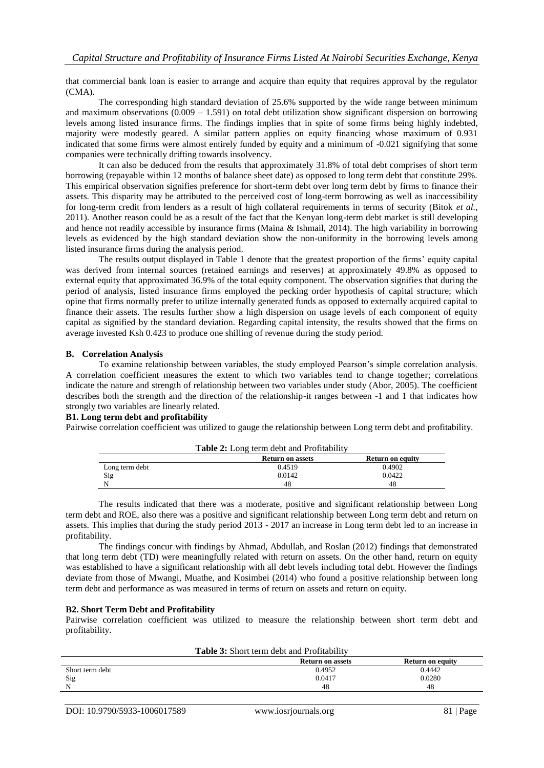that commercial bank loan is easier to arrange and acquire than equity that requires approval by the regulator (CMA).

The corresponding high standard deviation of 25.6% supported by the wide range between minimum and maximum observations  $(0.009 - 1.591)$  on total debt utilization show significant dispersion on borrowing levels among listed insurance firms. The findings implies that in spite of some firms being highly indebted, majority were modestly geared. A similar pattern applies on equity financing whose maximum of 0.931 indicated that some firms were almost entirely funded by equity and a minimum of -0.021 signifying that some companies were technically drifting towards insolvency.

It can also be deduced from the results that approximately 31.8% of total debt comprises of short term borrowing (repayable within 12 months of balance sheet date) as opposed to long term debt that constitute 29%. This empirical observation signifies preference for short-term debt over long term debt by firms to finance their assets. This disparity may be attributed to the perceived cost of long-term borrowing as well as inaccessibility for long-term credit from lenders as a result of high collateral requirements in terms of security (Bitok *et al.*, 2011). Another reason could be as a result of the fact that the Kenyan long-term debt market is still developing and hence not readily accessible by insurance firms (Maina & Ishmail, 2014). The high variability in borrowing levels as evidenced by the high standard deviation show the non-uniformity in the borrowing levels among listed insurance firms during the analysis period.

The results output displayed in Table 1 denote that the greatest proportion of the firms' equity capital was derived from internal sources (retained earnings and reserves) at approximately 49.8% as opposed to external equity that approximated 36.9% of the total equity component. The observation signifies that during the period of analysis, listed insurance firms employed the pecking order hypothesis of capital structure; which opine that firms normally prefer to utilize internally generated funds as opposed to externally acquired capital to finance their assets. The results further show a high dispersion on usage levels of each component of equity capital as signified by the standard deviation. Regarding capital intensity, the results showed that the firms on average invested Ksh 0.423 to produce one shilling of revenue during the study period.

#### **B. Correlation Analysis**

To examine relationship between variables, the study employed Pearson's simple correlation analysis. A correlation coefficient measures the extent to which two variables tend to change together; correlations indicate the nature and strength of relationship between two variables under study (Abor, 2005). The coefficient describes both the strength and the direction of the relationship-it ranges between -1 and 1 that indicates how strongly two variables are linearly related.

## **B1. Long term debt and profitability**

Pairwise correlation coefficient was utilized to gauge the relationship between Long term debt and profitability.

|                | <b>Table 2:</b> Long term debt and Profitability |                         |
|----------------|--------------------------------------------------|-------------------------|
|                | <b>Return on assets</b>                          | <b>Return on equity</b> |
| Long term debt | 0.4519                                           | 0.4902                  |
| Sig            | 0.0142                                           | 0.0422                  |
|                | 48                                               | 48                      |

The results indicated that there was a moderate, positive and significant relationship between Long term debt and ROE, also there was a positive and significant relationship between Long term debt and return on assets. This implies that during the study period 2013 - 2017 an increase in Long term debt led to an increase in profitability.

The findings concur with findings by Ahmad, Abdullah, and Roslan (2012) findings that demonstrated that long term debt (TD) were meaningfully related with return on assets. On the other hand, return on equity was established to have a significant relationship with all debt levels including total debt. However the findings deviate from those of Mwangi, Muathe, and Kosimbei (2014) who found a positive relationship between long term debt and performance as was measured in terms of return on assets and return on equity.

#### **B2. Short Term Debt and Profitability**

Pairwise correlation coefficient was utilized to measure the relationship between short term debt and profitability.

| <b>Table 3:</b> Short term debt and Profitability |                  |                  |  |  |
|---------------------------------------------------|------------------|------------------|--|--|
|                                                   | Return on assets | Return on equity |  |  |
| Short term debt                                   | 0.4952           | 0.4442           |  |  |
| Sig                                               | 0.0417           | 0.0280           |  |  |
|                                                   | 48               | 48               |  |  |
|                                                   |                  |                  |  |  |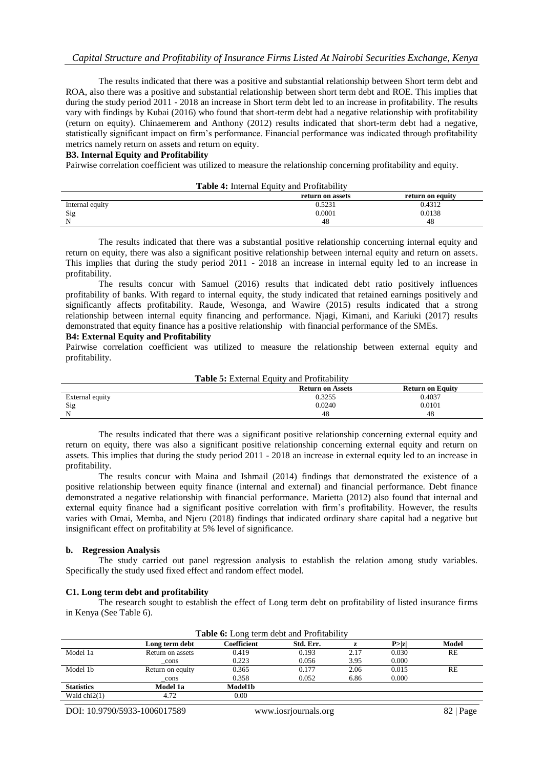The results indicated that there was a positive and substantial relationship between Short term debt and ROA, also there was a positive and substantial relationship between short term debt and ROE. This implies that during the study period 2011 - 2018 an increase in Short term debt led to an increase in profitability. The results vary with findings by Kubai (2016) who found that short-term debt had a negative relationship with profitability (return on equity). Chinaemerem and Anthony (2012) results indicated that short-term debt had a negative, statistically significant impact on firm's performance. Financial performance was indicated through profitability metrics namely return on assets and return on equity.

#### **B3. Internal Equity and Profitability**

Pairwise correlation coefficient was utilized to measure the relationship concerning profitability and equity.

|                 | <b>Table 4:</b> Internal Equity and Profitability |                  |
|-----------------|---------------------------------------------------|------------------|
|                 | return on assets                                  | return on equity |
| Internal equity | 0.5231                                            | 0.4312           |
| Sig             | 0.0001                                            | 0.0138           |
| N               | 48                                                | 48               |
|                 |                                                   |                  |

The results indicated that there was a substantial positive relationship concerning internal equity and return on equity, there was also a significant positive relationship between internal equity and return on assets. This implies that during the study period 2011 - 2018 an increase in internal equity led to an increase in profitability.

The results concur with Samuel (2016) results that indicated debt ratio positively influences profitability of banks. With regard to internal equity, the study indicated that retained earnings positively and significantly affects profitability. Raude, Wesonga, and Wawire (2015) results indicated that a strong relationship between internal equity financing and performance. Njagi, Kimani, and Kariuki (2017) results demonstrated that equity finance has a positive relationship with financial performance of the SMEs.

# **B4: External Equity and Profitability**

Pairwise correlation coefficient was utilized to measure the relationship between external equity and profitability.

| <b>Table 5:</b> External Equity and Profitability |                         |                         |  |
|---------------------------------------------------|-------------------------|-------------------------|--|
|                                                   | <b>Return on Assets</b> | <b>Return on Equity</b> |  |
| External equity                                   | 0.3255                  | 0.4037                  |  |
| Sig                                               | 0.0240                  | 0.0101                  |  |
| N                                                 | 48                      | 48                      |  |

The results indicated that there was a significant positive relationship concerning external equity and return on equity, there was also a significant positive relationship concerning external equity and return on assets. This implies that during the study period 2011 - 2018 an increase in external equity led to an increase in profitability.

The results concur with Maina and Ishmail (2014) findings that demonstrated the existence of a positive relationship between equity finance (internal and external) and financial performance. Debt finance demonstrated a negative relationship with financial performance. Marietta (2012) also found that internal and external equity finance had a significant positive correlation with firm's profitability. However, the results varies with Omai, Memba, and Njeru (2018) findings that indicated ordinary share capital had a negative but insignificant effect on profitability at 5% level of significance.

#### **b. Regression Analysis**

The study carried out panel regression analysis to establish the relation among study variables. Specifically the study used fixed effect and random effect model.

#### **C1. Long term debt and profitability**

The research sought to establish the effect of Long term debt on profitability of listed insurance firms in Kenya (See Table 6).

| <b>Table 6:</b> Long term debt and Profitability |                  |             |           |      |        |       |
|--------------------------------------------------|------------------|-------------|-----------|------|--------|-------|
|                                                  | Long term debt   | Coefficient | Std. Err. |      | P >  z | Model |
| Model 1a                                         | Return on assets | 0.419       | 0.193     | 2.17 | 0.030  | RE    |
|                                                  | _cons            | 0.223       | 0.056     | 3.95 | 0.000  |       |
| Model 1b                                         | Return on equity | 0.365       | 0.177     | 2.06 | 0.015  | RE    |
|                                                  | cons             | 0.358       | 0.052     | 6.86 | 0.000  |       |
| <b>Statistics</b>                                | Model 1a         | Model1b     |           |      |        |       |
| Wald $chi2(1)$                                   | 4.72             | 0.00        |           |      |        |       |
|                                                  |                  |             |           |      |        |       |

DOI: 10.9790/5933-1006017589 www.iosrjournals.org 82 | Page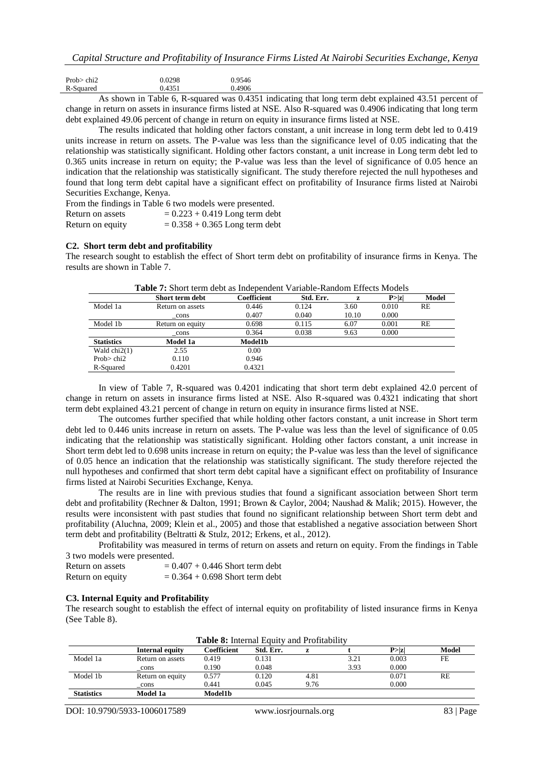| Prob $>$ chi2 |  | 0.0298 | 0.9546        |
|---------------|--|--------|---------------|
| R-Squared     |  | 0.4351 | 0.4906        |
|               |  | -- - - | $\sim$ $\sim$ |

As shown in Table 6, R-squared was 0.4351 indicating that long term debt explained 43.51 percent of change in return on assets in insurance firms listed at NSE. Also R-squared was 0.4906 indicating that long term debt explained 49.06 percent of change in return on equity in insurance firms listed at NSE.

The results indicated that holding other factors constant, a unit increase in long term debt led to 0.419 units increase in return on assets. The P-value was less than the significance level of 0.05 indicating that the relationship was statistically significant. Holding other factors constant, a unit increase in Long term debt led to 0.365 units increase in return on equity; the P-value was less than the level of significance of 0.05 hence an indication that the relationship was statistically significant. The study therefore rejected the null hypotheses and found that long term debt capital have a significant effect on profitability of Insurance firms listed at Nairobi Securities Exchange, Kenya.

|                  | From the findings in Table 6 two models were presented. |
|------------------|---------------------------------------------------------|
| Return on assets | $= 0.223 + 0.419$ Long term debt                        |
| Return on equity | $= 0.358 + 0.365$ Long term debt                        |

#### **C2. Short term debt and profitability**

The research sought to establish the effect of Short term debt on profitability of insurance firms in Kenya. The results are shown in Table 7.

|                   | Table 7: Short term debt as Independent Variable-Random Effects Models |                |           |       |        |       |
|-------------------|------------------------------------------------------------------------|----------------|-----------|-------|--------|-------|
|                   | Short term debt                                                        | Coefficient    | Std. Err. | z     | P >  z | Model |
| Model 1a          | Return on assets                                                       | 0.446          | 0.124     | 3.60  | 0.010  | RE    |
|                   | cons                                                                   | 0.407          | 0.040     | 10.10 | 0.000  |       |
| Model 1b          | Return on equity                                                       | 0.698          | 0.115     | 6.07  | 0.001  | RE    |
|                   | cons                                                                   | 0.364          | 0.038     | 9.63  | 0.000  |       |
| <b>Statistics</b> | Model 1a                                                               | <b>Model1b</b> |           |       |        |       |
| Wald $chi2(1)$    | 2.55                                                                   | 0.00           |           |       |        |       |
| Prob $>$ chi2     | 0.110                                                                  | 0.946          |           |       |        |       |
| R-Squared         | 0.4201                                                                 | 0.4321         |           |       |        |       |

| <b>Table 7:</b> Short term debt as Independent Variable-Random Effects Models |
|-------------------------------------------------------------------------------|
|-------------------------------------------------------------------------------|

In view of Table 7, R-squared was 0.4201 indicating that short term debt explained 42.0 percent of change in return on assets in insurance firms listed at NSE. Also R-squared was 0.4321 indicating that short term debt explained 43.21 percent of change in return on equity in insurance firms listed at NSE.

The outcomes further specified that while holding other factors constant, a unit increase in Short term debt led to 0.446 units increase in return on assets. The P-value was less than the level of significance of 0.05 indicating that the relationship was statistically significant. Holding other factors constant, a unit increase in Short term debt led to 0.698 units increase in return on equity; the P-value was less than the level of significance of 0.05 hence an indication that the relationship was statistically significant. The study therefore rejected the null hypotheses and confirmed that short term debt capital have a significant effect on profitability of Insurance firms listed at Nairobi Securities Exchange, Kenya.

The results are in line with previous studies that found a significant association between Short term debt and profitability (Rechner & Dalton, 1991; Brown & Caylor, 2004; Naushad & Malik; 2015). However, the results were inconsistent with past studies that found no significant relationship between Short term debt and profitability (Aluchna, 2009; Klein et al., 2005) and those that established a negative association between Short term debt and profitability (Beltratti & Stulz, 2012; Erkens, et al., 2012).

Profitability was measured in terms of return on assets and return on equity. From the findings in Table 3 two models were presented.

| Return on assets | $= 0.407 + 0.446$ Short term debt |
|------------------|-----------------------------------|
| Return on equity | $= 0.364 + 0.698$ Short term debt |

# **C3. Internal Equity and Profitability**

The research sought to establish the effect of internal equity on profitability of listed insurance firms in Kenya (See Table 8).

|                      | Internal equity  | Coefficient | Std. Err. | 7.   |      | P >  z | Model |
|----------------------|------------------|-------------|-----------|------|------|--------|-------|
| Model 1a             | Return on assets | 0.419       | 0.131     |      | 3.21 | 0.003  | FE    |
|                      | cons             | 0.190       | 0.048     |      | 3.93 | 0.000  |       |
| Model 1 <sub>b</sub> | Return on equity | 0.577       | 0.120     | 4.81 |      | 0.071  | RE    |
|                      | cons             | 0.441       | 0.045     | 9.76 |      | 0.000  |       |
| <b>Statistics</b>    | Model 1a         | Model1b     |           |      |      |        |       |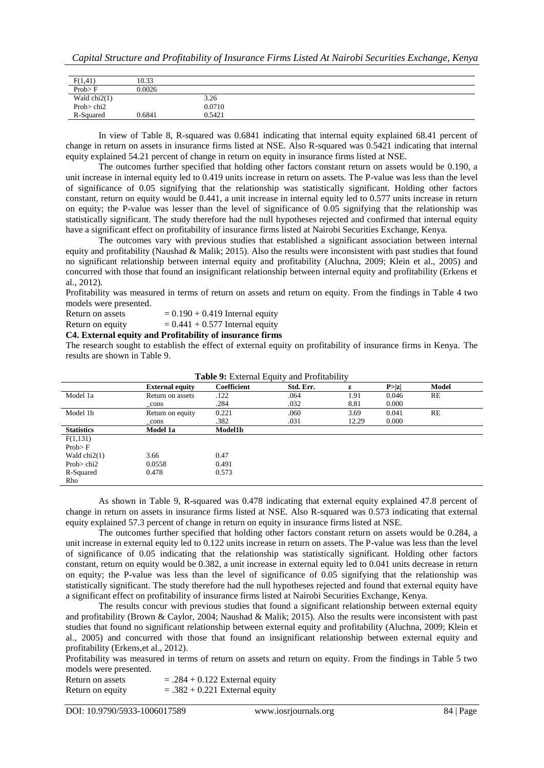| F(1,41)        | 10.33  |        |  |
|----------------|--------|--------|--|
| Prob > F       | 0.0026 |        |  |
| Wald $chi2(1)$ |        | 3.26   |  |
| Prob $>$ chi2  |        | 0.0710 |  |
| R-Squared      | 0.6841 | 0.5421 |  |

In view of Table 8, R-squared was 0.6841 indicating that internal equity explained 68.41 percent of change in return on assets in insurance firms listed at NSE. Also R-squared was 0.5421 indicating that internal equity explained 54.21 percent of change in return on equity in insurance firms listed at NSE.

The outcomes further specified that holding other factors constant return on assets would be 0.190, a unit increase in internal equity led to 0.419 units increase in return on assets. The P-value was less than the level of significance of 0.05 signifying that the relationship was statistically significant. Holding other factors constant, return on equity would be 0.441, a unit increase in internal equity led to 0.577 units increase in return on equity; the P-value was lesser than the level of significance of 0.05 signifying that the relationship was statistically significant. The study therefore had the null hypotheses rejected and confirmed that internal equity have a significant effect on profitability of insurance firms listed at Nairobi Securities Exchange, Kenya.

The outcomes vary with previous studies that established a significant association between internal equity and profitability (Naushad & Malik; 2015). Also the results were inconsistent with past studies that found no significant relationship between internal equity and profitability (Aluchna, 2009; Klein et al., 2005) and concurred with those that found an insignificant relationship between internal equity and profitability (Erkens et al., 2012).

Profitability was measured in terms of return on assets and return on equity. From the findings in Table 4 two models were presented.

Return on assets  $= 0.190 + 0.419$  Internal equity

Return on equity  $= 0.441 + 0.577$  Internal equity

**C4. External equity and Profitability of insurance firms**

The research sought to establish the effect of external equity on profitability of insurance firms in Kenya. The results are shown in Table 9.

| <b>Rable 7.</b> EXTERNAL Equity and From aboutly |                        |                    |           |       |        |       |  |
|--------------------------------------------------|------------------------|--------------------|-----------|-------|--------|-------|--|
|                                                  | <b>External equity</b> | <b>Coefficient</b> | Std. Err. | z     | P >  z | Model |  |
| Model 1a                                         | Return on assets       | .122               | .064      | 1.91  | 0.046  | RE    |  |
|                                                  | cons                   | .284               | .032      | 8.81  | 0.000  |       |  |
| Model 1b                                         | Return on equity       | 0.221              | .060      | 3.69  | 0.041  | RE    |  |
|                                                  | cons                   | .382               | .031      | 12.29 | 0.000  |       |  |
| <b>Statistics</b>                                | Model 1a               | <b>Model1b</b>     |           |       |        |       |  |
| F(1,131)                                         |                        |                    |           |       |        |       |  |
| Prob > F                                         |                        |                    |           |       |        |       |  |
| Wald $chi2(1)$                                   | 3.66                   | 0.47               |           |       |        |       |  |
| Prob $>$ chi2                                    | 0.0558                 | 0.491              |           |       |        |       |  |
| R-Squared                                        | 0.478                  | 0.573              |           |       |        |       |  |
| Rho                                              |                        |                    |           |       |        |       |  |

|  |  |  |  | Table 9: External Equity and Profitability |
|--|--|--|--|--------------------------------------------|
|--|--|--|--|--------------------------------------------|

As shown in Table 9, R-squared was 0.478 indicating that external equity explained 47.8 percent of change in return on assets in insurance firms listed at NSE. Also R-squared was 0.573 indicating that external equity explained 57.3 percent of change in return on equity in insurance firms listed at NSE.

The outcomes further specified that holding other factors constant return on assets would be 0.284, a unit increase in external equity led to 0.122 units increase in return on assets. The P-value was less than the level of significance of 0.05 indicating that the relationship was statistically significant. Holding other factors constant, return on equity would be 0.382, a unit increase in external equity led to 0.041 units decrease in return on equity; the P-value was less than the level of significance of 0.05 signifying that the relationship was statistically significant. The study therefore had the null hypotheses rejected and found that external equity have a significant effect on profitability of insurance firms listed at Nairobi Securities Exchange, Kenya.

The results concur with previous studies that found a significant relationship between external equity and profitability (Brown & Caylor, 2004; Naushad & Malik; 2015). Also the results were inconsistent with past studies that found no significant relationship between external equity and profitability (Aluchna, 2009; Klein et al., 2005) and concurred with those that found an insignificant relationship between external equity and profitability (Erkens,et al., 2012).

Profitability was measured in terms of return on assets and return on equity. From the findings in Table 5 two models were presented.

Return on assets  $= .284 + 0.122$  External equity Return on equity  $= .382 + 0.221$  External equity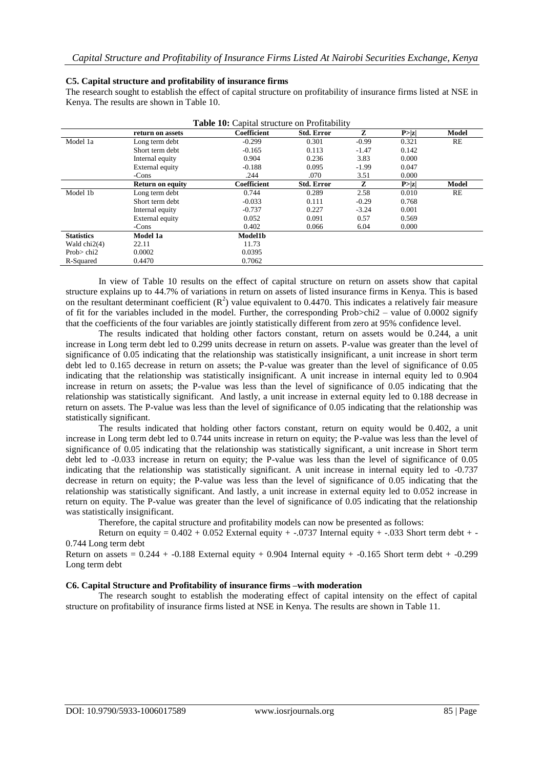#### **C5. Capital structure and profitability of insurance firms**

The research sought to establish the effect of capital structure on profitability of insurance firms listed at NSE in Kenya. The results are shown in Table 10.

|                   | return on assets        | <b>Coefficient</b> | <b>Std. Error</b> | Z       | P >  z | Model |
|-------------------|-------------------------|--------------------|-------------------|---------|--------|-------|
| Model 1a          | Long term debt          | $-0.299$           | 0.301             | $-0.99$ | 0.321  | RE    |
|                   | Short term debt         | $-0.165$           | 0.113             | $-1.47$ | 0.142  |       |
|                   | Internal equity         | 0.904              | 0.236             | 3.83    | 0.000  |       |
|                   | External equity         | $-0.188$           | 0.095             | $-1.99$ | 0.047  |       |
|                   | -Cons                   | .244               | .070              | 3.51    | 0.000  |       |
|                   | <b>Return on equity</b> | <b>Coefficient</b> | <b>Std. Error</b> | z       | P >  z | Model |
| Model 1b          | Long term debt          | 0.744              | 0.289             | 2.58    | 0.010  | RE    |
|                   | Short term debt         | $-0.033$           | 0.111             | $-0.29$ | 0.768  |       |
|                   | Internal equity         | $-0.737$           | 0.227             | $-3.24$ | 0.001  |       |
|                   | External equity         | 0.052              | 0.091             | 0.57    | 0.569  |       |
|                   | -Cons                   | 0.402              | 0.066             | 6.04    | 0.000  |       |
| <b>Statistics</b> | Model 1a                | Model1b            |                   |         |        |       |
| Wald $chi2(4)$    | 22.11                   | 11.73              |                   |         |        |       |
| Prob $>$ chi2     | 0.0002                  | 0.0395             |                   |         |        |       |
| R-Squared         | 0.4470                  | 0.7062             |                   |         |        |       |

**Table 10:** Capital structure on Profitability

In view of Table 10 results on the effect of capital structure on return on assets show that capital structure explains up to 44.7% of variations in return on assets of listed insurance firms in Kenya. This is based on the resultant determinant coefficient  $(R^2)$  value equivalent to 0.4470. This indicates a relatively fair measure of fit for the variables included in the model. Further, the corresponding Prob>chi2 – value of 0.0002 signify that the coefficients of the four variables are jointly statistically different from zero at 95% confidence level.

The results indicated that holding other factors constant, return on assets would be 0.244, a unit increase in Long term debt led to 0.299 units decrease in return on assets. P-value was greater than the level of significance of 0.05 indicating that the relationship was statistically insignificant, a unit increase in short term debt led to 0.165 decrease in return on assets; the P-value was greater than the level of significance of 0.05 indicating that the relationship was statistically insignificant. A unit increase in internal equity led to 0.904 increase in return on assets; the P-value was less than the level of significance of 0.05 indicating that the relationship was statistically significant. And lastly, a unit increase in external equity led to 0.188 decrease in return on assets. The P-value was less than the level of significance of 0.05 indicating that the relationship was statistically significant.

The results indicated that holding other factors constant, return on equity would be 0.402, a unit increase in Long term debt led to 0.744 units increase in return on equity; the P-value was less than the level of significance of 0.05 indicating that the relationship was statistically significant, a unit increase in Short term debt led to -0.033 increase in return on equity; the P-value was less than the level of significance of 0.05 indicating that the relationship was statistically significant. A unit increase in internal equity led to -0.737 decrease in return on equity; the P-value was less than the level of significance of 0.05 indicating that the relationship was statistically significant. And lastly, a unit increase in external equity led to 0.052 increase in return on equity. The P-value was greater than the level of significance of 0.05 indicating that the relationship was statistically insignificant.

Therefore, the capital structure and profitability models can now be presented as follows:

Return on equity =  $0.402 + 0.052$  External equity + -.0737 Internal equity + -.033 Short term debt + -0.744 Long term debt

Return on assets =  $0.244 + 0.188$  External equity + 0.904 Internal equity +  $-0.165$  Short term debt +  $-0.299$ Long term debt

#### **C6. Capital Structure and Profitability of insurance firms –with moderation**

The research sought to establish the moderating effect of capital intensity on the effect of capital structure on profitability of insurance firms listed at NSE in Kenya. The results are shown in Table 11.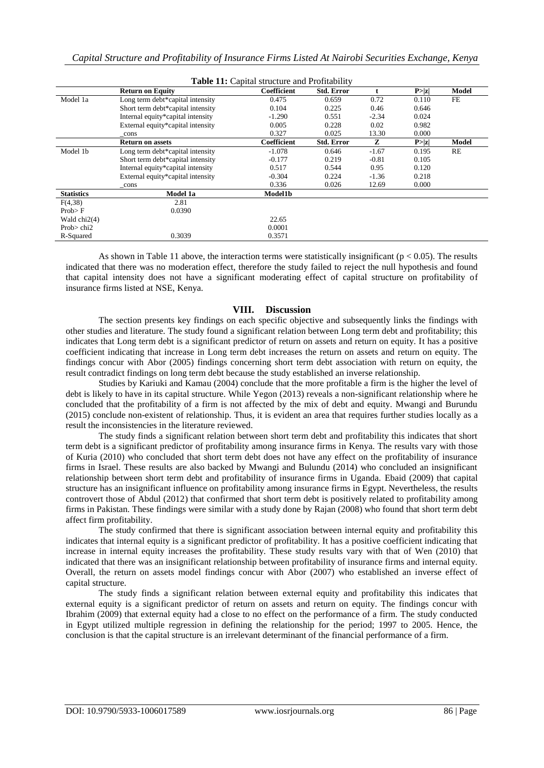|                   |                                   | Table 11: Capital structure and Profitability |                   |         |        |       |
|-------------------|-----------------------------------|-----------------------------------------------|-------------------|---------|--------|-------|
|                   | <b>Return on Equity</b>           | <b>Coefficient</b>                            | <b>Std. Error</b> |         | P >  z | Model |
| Model 1a          | Long term debt*capital intensity  | 0.475                                         | 0.659             | 0.72    | 0.110  | FE    |
|                   | Short term debt*capital intensity | 0.104                                         | 0.225             | 0.46    | 0.646  |       |
|                   | Internal equity*capital intensity | $-1.290$                                      | 0.551             | $-2.34$ | 0.024  |       |
|                   | External equity*capital intensity | 0.005                                         | 0.228             | 0.02    | 0.982  |       |
|                   | _cons                             | 0.327                                         | 0.025             | 13.30   | 0.000  |       |
|                   | <b>Return on assets</b>           | <b>Coefficient</b>                            | <b>Std. Error</b> | Z       | P >  z | Model |
| Model 1b          | Long term debt*capital intensity  | $-1.078$                                      | 0.646             | $-1.67$ | 0.195  | RE    |
|                   | Short term debt*capital intensity | $-0.177$                                      | 0.219             | $-0.81$ | 0.105  |       |
|                   | Internal equity*capital intensity | 0.517                                         | 0.544             | 0.95    | 0.120  |       |
|                   | External equity*capital intensity | $-0.304$                                      | 0.224             | $-1.36$ | 0.218  |       |
|                   | cons                              | 0.336                                         | 0.026             | 12.69   | 0.000  |       |
| <b>Statistics</b> | <b>Model 1a</b>                   | Model1b                                       |                   |         |        |       |
| F(4,38)           | 2.81                              |                                               |                   |         |        |       |
| Prob > F          | 0.0390                            |                                               |                   |         |        |       |
| Wald chi2(4)      |                                   | 22.65                                         |                   |         |        |       |
| Prob $>$ chi2     |                                   | 0.0001                                        |                   |         |        |       |
| R-Squared         | 0.3039                            | 0.3571                                        |                   |         |        |       |

As shown in Table 11 above, the interaction terms were statistically insignificant ( $p < 0.05$ ). The results indicated that there was no moderation effect, therefore the study failed to reject the null hypothesis and found that capital intensity does not have a significant moderating effect of capital structure on profitability of insurance firms listed at NSE, Kenya.

# **VIII. Discussion**

The section presents key findings on each specific objective and subsequently links the findings with other studies and literature. The study found a significant relation between Long term debt and profitability; this indicates that Long term debt is a significant predictor of return on assets and return on equity. It has a positive coefficient indicating that increase in Long term debt increases the return on assets and return on equity. The findings concur with Abor (2005) findings concerning short term debt association with return on equity, the result contradict findings on long term debt because the study established an inverse relationship.

Studies by Kariuki and Kamau (2004) conclude that the more profitable a firm is the higher the level of debt is likely to have in its capital structure. While Yegon (2013) reveals a non-significant relationship where he concluded that the profitability of a firm is not affected by the mix of debt and equity. Mwangi and Burundu (2015) conclude non-existent of relationship. Thus, it is evident an area that requires further studies locally as a result the inconsistencies in the literature reviewed.

The study finds a significant relation between short term debt and profitability this indicates that short term debt is a significant predictor of profitability among insurance firms in Kenya. The results vary with those of Kuria (2010) who concluded that short term debt does not have any effect on the profitability of insurance firms in Israel. These results are also backed by Mwangi and Bulundu (2014) who concluded an insignificant relationship between short term debt and profitability of insurance firms in Uganda. Ebaid (2009) that capital structure has an insignificant influence on profitability among insurance firms in Egypt. Nevertheless, the results controvert those of Abdul (2012) that confirmed that short term debt is positively related to profitability among firms in Pakistan. These findings were similar with a study done by Rajan (2008) who found that short term debt affect firm profitability.

The study confirmed that there is significant association between internal equity and profitability this indicates that internal equity is a significant predictor of profitability. It has a positive coefficient indicating that increase in internal equity increases the profitability. These study results vary with that of Wen (2010) that indicated that there was an insignificant relationship between profitability of insurance firms and internal equity. Overall, the return on assets model findings concur with Abor (2007) who established an inverse effect of capital structure.

The study finds a significant relation between external equity and profitability this indicates that external equity is a significant predictor of return on assets and return on equity. The findings concur with Ibrahim (2009) that external equity had a close to no effect on the performance of a firm. The study conducted in Egypt utilized multiple regression in defining the relationship for the period; 1997 to 2005. Hence, the conclusion is that the capital structure is an irrelevant determinant of the financial performance of a firm.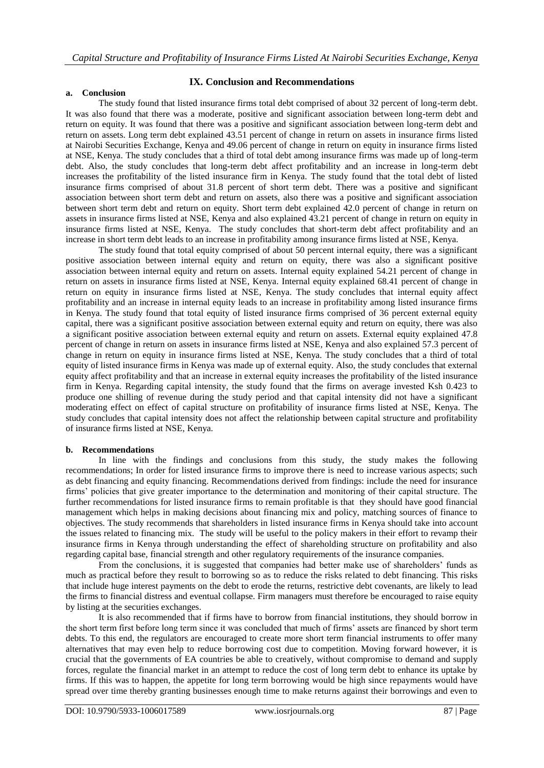# **IX. Conclusion and Recommendations**

#### **a. Conclusion**

The study found that listed insurance firms total debt comprised of about 32 percent of long-term debt. It was also found that there was a moderate, positive and significant association between long-term debt and return on equity. It was found that there was a positive and significant association between long-term debt and return on assets. Long term debt explained 43.51 percent of change in return on assets in insurance firms listed at Nairobi Securities Exchange, Kenya and 49.06 percent of change in return on equity in insurance firms listed at NSE, Kenya. The study concludes that a third of total debt among insurance firms was made up of long-term debt. Also, the study concludes that long-term debt affect profitability and an increase in long-term debt increases the profitability of the listed insurance firm in Kenya. The study found that the total debt of listed insurance firms comprised of about 31.8 percent of short term debt. There was a positive and significant association between short term debt and return on assets, also there was a positive and significant association between short term debt and return on equity. Short term debt explained 42.0 percent of change in return on assets in insurance firms listed at NSE, Kenya and also explained 43.21 percent of change in return on equity in insurance firms listed at NSE, Kenya. The study concludes that short-term debt affect profitability and an increase in short term debt leads to an increase in profitability among insurance firms listed at NSE, Kenya.

The study found that total equity comprised of about 50 percent internal equity, there was a significant positive association between internal equity and return on equity, there was also a significant positive association between internal equity and return on assets. Internal equity explained 54.21 percent of change in return on assets in insurance firms listed at NSE, Kenya. Internal equity explained 68.41 percent of change in return on equity in insurance firms listed at NSE, Kenya. The study concludes that internal equity affect profitability and an increase in internal equity leads to an increase in profitability among listed insurance firms in Kenya. The study found that total equity of listed insurance firms comprised of 36 percent external equity capital, there was a significant positive association between external equity and return on equity, there was also a significant positive association between external equity and return on assets. External equity explained 47.8 percent of change in return on assets in insurance firms listed at NSE, Kenya and also explained 57.3 percent of change in return on equity in insurance firms listed at NSE, Kenya. The study concludes that a third of total equity of listed insurance firms in Kenya was made up of external equity. Also, the study concludes that external equity affect profitability and that an increase in external equity increases the profitability of the listed insurance firm in Kenya. Regarding capital intensity, the study found that the firms on average invested Ksh 0.423 to produce one shilling of revenue during the study period and that capital intensity did not have a significant moderating effect on effect of capital structure on profitability of insurance firms listed at NSE, Kenya. The study concludes that capital intensity does not affect the relationship between capital structure and profitability of insurance firms listed at NSE, Kenya.

#### **b. Recommendations**

In line with the findings and conclusions from this study, the study makes the following recommendations; In order for listed insurance firms to improve there is need to increase various aspects; such as debt financing and equity financing. Recommendations derived from findings: include the need for insurance firms' policies that give greater importance to the determination and monitoring of their capital structure. The further recommendations for listed insurance firms to remain profitable is that they should have good financial management which helps in making decisions about financing mix and policy, matching sources of finance to objectives. The study recommends that shareholders in listed insurance firms in Kenya should take into account the issues related to financing mix. The study will be useful to the policy makers in their effort to revamp their insurance firms in Kenya through understanding the effect of shareholding structure on profitability and also regarding capital base, financial strength and other regulatory requirements of the insurance companies.

From the conclusions, it is suggested that companies had better make use of shareholders' funds as much as practical before they result to borrowing so as to reduce the risks related to debt financing. This risks that include huge interest payments on the debt to erode the returns, restrictive debt covenants, are likely to lead the firms to financial distress and eventual collapse. Firm managers must therefore be encouraged to raise equity by listing at the securities exchanges.

It is also recommended that if firms have to borrow from financial institutions, they should borrow in the short term first before long term since it was concluded that much of firms' assets are financed by short term debts. To this end, the regulators are encouraged to create more short term financial instruments to offer many alternatives that may even help to reduce borrowing cost due to competition. Moving forward however, it is crucial that the governments of EA countries be able to creatively, without compromise to demand and supply forces, regulate the financial market in an attempt to reduce the cost of long term debt to enhance its uptake by firms. If this was to happen, the appetite for long term borrowing would be high since repayments would have spread over time thereby granting businesses enough time to make returns against their borrowings and even to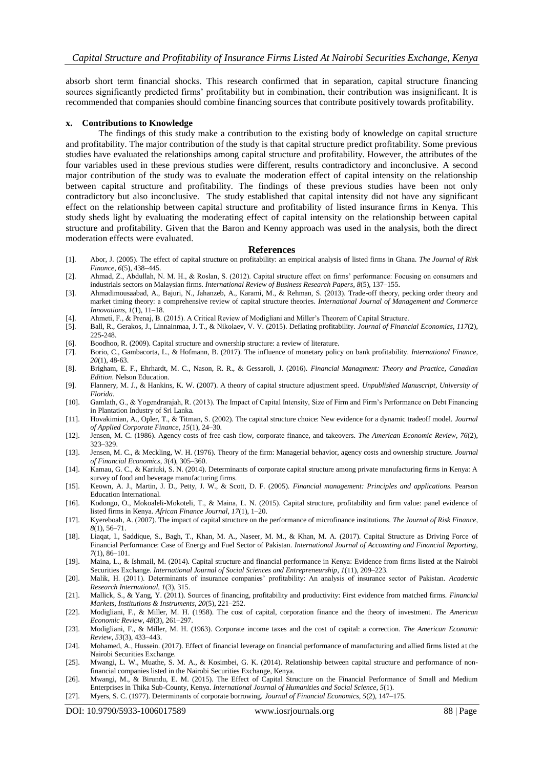absorb short term financial shocks. This research confirmed that in separation, capital structure financing sources significantly predicted firms' profitability but in combination, their contribution was insignificant. It is recommended that companies should combine financing sources that contribute positively towards profitability.

#### **x. Contributions to Knowledge**

The findings of this study make a contribution to the existing body of knowledge on capital structure and profitability. The major contribution of the study is that capital structure predict profitability. Some previous studies have evaluated the relationships among capital structure and profitability. However, the attributes of the four variables used in these previous studies were different, results contradictory and inconclusive. A second major contribution of the study was to evaluate the moderation effect of capital intensity on the relationship between capital structure and profitability. The findings of these previous studies have been not only contradictory but also inconclusive. The study established that capital intensity did not have any significant effect on the relationship between capital structure and profitability of listed insurance firms in Kenya. This study sheds light by evaluating the moderating effect of capital intensity on the relationship between capital structure and profitability. Given that the Baron and Kenny approach was used in the analysis, both the direct moderation effects were evaluated.

#### **References**

- [1]. Abor, J. (2005). The effect of capital structure on profitability: an empirical analysis of listed firms in Ghana. *The Journal of Risk Finance*, *6*(5), 438–445.
- [2]. Ahmad, Z., Abdullah, N. M. H., & Roslan, S. (2012). Capital structure effect on firms' performance: Focusing on consumers and industrials sectors on Malaysian firms. *International Review of Business Research Papers*, *8*(5), 137–155.
- [3]. Ahmadimousaabad, A., Bajuri, N., Jahanzeb, A., Karami, M., & Rehman, S. (2013). Trade-off theory, pecking order theory and market timing theory: a comprehensive review of capital structure theories. *International Journal of Management and Commerce Innovations*, *1*(1), 11–18.
- [4]. Ahmeti, F., & Prenaj, B. (2015). A Critical Review of Modigliani and Miller's Theorem of Capital Structure.
- [5]. Ball, R., Gerakos, J., Linnainmaa, J. T., & Nikolaev, V. V. (2015). Deflating profitability. *Journal of Financial Economics*, *117*(2), 225-248.
- [6]. Boodhoo, R. (2009). Capital structure and ownership structure: a review of literature.
- [7]. Borio, C., Gambacorta, L., & Hofmann, B. (2017). The influence of monetary policy on bank profitability. *International Finance*, *20*(1), 48-63.
- [8]. Brigham, E. F., Ehrhardt, M. C., Nason, R. R., & Gessaroli, J. (2016). *Financial Managment: Theory and Practice, Canadian Edition*. Nelson Education.
- [9]. Flannery, M. J., & Hankins, K. W. (2007). A theory of capital structure adjustment speed. *Unpublished Manuscript, University of Florida*.
- [10]. Gamlath, G., & Yogendrarajah, R. (2013). The Impact of Capital Intensity, Size of Firm and Firm's Performance on Debt Financing in Plantation Industry of Sri Lanka.
- [11]. Hovakimian, A., Opler, T., & Titman, S. (2002). The capital structure choice: New evidence for a dynamic tradeoff model. *Journal of Applied Corporate Finance*, *15*(1), 24–30.
- [12]. Jensen, M. C. (1986). Agency costs of free cash flow, corporate finance, and takeovers. *The American Economic Review*, *76*(2), 323–329.
- [13]. Jensen, M. C., & Meckling, W. H. (1976). Theory of the firm: Managerial behavior, agency costs and ownership structure. *Journal of Financial Economics*, *3*(4), 305–360.
- [14]. Kamau, G. C., & Kariuki, S. N. (2014). Determinants of corporate capital structure among private manufacturing firms in Kenya: A survey of food and beverage manufacturing firms.
- [15]. Keown, A. J., Martin, J. D., Petty, J. W., & Scott, D. F. (2005). *Financial management: Principles and applications*. Pearson Education International.
- [16]. Kodongo, O., Mokoaleli-Mokoteli, T., & Maina, L. N. (2015). Capital structure, profitability and firm value: panel evidence of listed firms in Kenya. *African Finance Journal*, *17*(1), 1–20.
- [17]. Kyereboah, A. (2007). The impact of capital structure on the performance of microfinance institutions. *The Journal of Risk Finance*, *8*(1), 56–71.
- [18]. Liaqat, I., Saddique, S., Bagh, T., Khan, M. A., Naseer, M. M., & Khan, M. A. (2017). Capital Structure as Driving Force of Financial Performance: Case of Energy and Fuel Sector of Pakistan. *International Journal of Accounting and Financial Reporting*, *7*(1), 86–101.
- [19]. Maina, L., & Ishmail, M. (2014). Capital structure and financial performance in Kenya: Evidence from firms listed at the Nairobi Securities Exchange. *International Journal of Social Sciences and Entrepreneurship*, *1*(11), 209–223.
- [20]. Malik, H. (2011). Determinants of insurance companies' profitability: An analysis of insurance sector of Pakistan. *Academic Research International*, *1*(3), 315.
- [21]. Mallick, S., & Yang, Y. (2011). Sources of financing, profitability and productivity: First evidence from matched firms. *Financial Markets, Institutions & Instruments*, *20*(5), 221–252.
- [22]. Modigliani, F., & Miller, M. H. (1958). The cost of capital, corporation finance and the theory of investment. *The American Economic Review*, *48*(3), 261–297.
- [23]. Modigliani, F., & Miller, M. H. (1963). Corporate income taxes and the cost of capital: a correction. *The American Economic Review*, *53*(3), 433–443.
- [24]. Mohamed, A., Hussein. (2017). Effect of financial leverage on financial performance of manufacturing and allied firms listed at the Nairobi Securities Exchange.
- [25]. Mwangi, L. W., Muathe, S. M. A., & Kosimbei, G. K. (2014). Relationship between capital structure and performance of nonfinancial companies listed in the Nairobi Securities Exchange, Kenya.
- [26]. Mwangi, M., & Birundu, E. M. (2015). The Effect of Capital Structure on the Financial Performance of Small and Medium Enterprises in Thika Sub-County, Kenya. *International Journal of Humanities and Social Science*, *5*(1).
- [27]. Myers, S. C. (1977). Determinants of corporate borrowing. *Journal of Financial Economics*, *5*(2), 147–175.